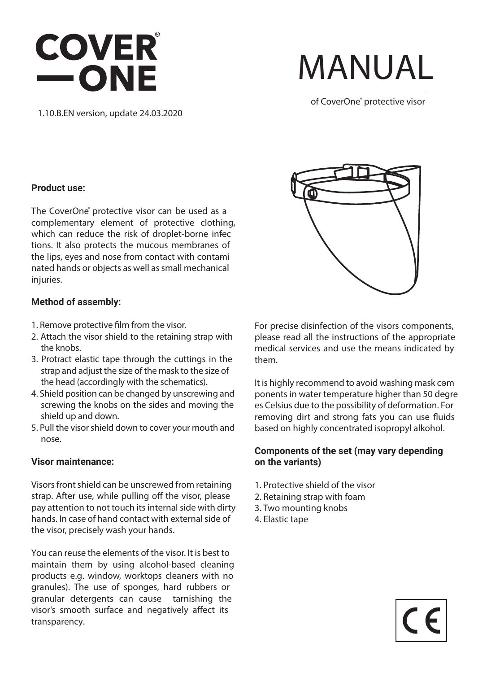### **COVER** -ONE

## **MANUAL**

**of CoverOne**®  **protective visor**

1.10.B.EN version, update 24.03.2020

#### **Product use:**

The CoverOne<sup>®</sup> protective visor can be used as a complementary element of protective clothing, which can reduce the risk of droplet-borne infec tions. It also protects the mucous membranes of the lips, eyes and nose from contact with contami nated hands or objects as well as small mechanical injuries.

#### **Method of assembly:**

- 1. Remove protective film from the visor.
- 2. Attach the visor shield to the retaining strap with the knobs.
- 3. Protract elastic tape through the cuttings in the strap and adjust the size of the mask to the size of the head (accordingly with the schematics).
- 4. Shield position can be changed by unscrewing and screwing the knobs on the sides and moving the shield up and down.
- 5. Pull the visor shield down to cover your mouth and nose.

#### **Visor maintenance:**

Visors front shield can be unscrewed from retaining strap. After use, while pulling off the visor, please pay attention to not touch its internal side with dirty hands. In case of hand contact with external side of the visor, precisely wash your hands.

You can reuse the elements of the visor. It is best to maintain them by using alcohol-based cleaning products e.g. window, worktops cleaners with no granules). The use of sponges, hard rubbers or granular detergents can cause tarnishing the visor's smooth surface and negatively affect its transparency.



For precise disinfection of the visors components, please read all the instructions of the appropriate medical services and use the means indicated by them.

It is highly recommend to avoid washing mask components in water temperature higher than 50 degre es Celsius due to the possibility of deformation. For removing dirt and strong fats you can use fluids based on highly concentrated isopropyl alkohol.

#### **Components of the set (may vary depending on the variants)**

- 1. Protective shield of the visor
- 2. Retaining strap with foam
- 3. Two mounting knobs
- 4. Elastic tape